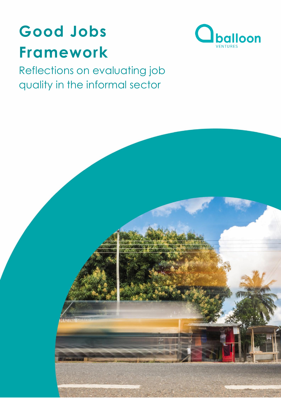



Reflections on evaluating job quality in the informal sector

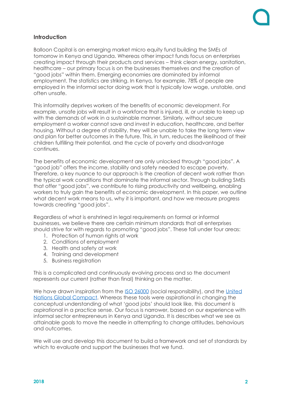

# **Introduction**

Balloon Capital is an emerging market micro equity fund building the SMEs of tomorrow in Kenya and Uganda. Whereas other impact funds focus on enterprises creating impact through their products and services – think clean energy, sanitation, healthcare – our primary focus is on the businesses themselves and the creation of "good jobs" within them. Emerging economies are dominated by informal employment. The statistics are striking. In Kenya, for example, 78% of people are employed in the informal sector doing work that is typically low wage, unstable, and often unsafe.

This informality deprives workers of the benefits of economic development. For example, unsafe jobs will result in a workforce that is injured, ill, or unable to keep up with the demands of work in a sustainable manner. Similarly, without secure employment a worker cannot save and invest in education, healthcare, and better housing. Without a degree of stability, they will be unable to take the long term view and plan for better outcomes in the future. This, in turn, reduces the likelihood of their children fulfilling their potential, and the cycle of poverty and disadvantage continues.

The benefits of economic development are only unlocked through "good jobs". A "good job" offers the income, stability and safety needed to escape poverty. Therefore, a key nuance to our approach is the creation of decent work rather than the typical work conditions that dominate the informal sector. Through building SMEs that offer "good jobs", we contribute to rising productivity and wellbeing, enabling workers to truly gain the benefits of economic development. In this paper, we outline what decent work means to us, why it is important, and how we measure progress towards creating "good jobs".

Regardless of what is enshrined in legal requirements on formal or informal businesses, we believe there are certain minimum standards that all enterprises should strive for with regards to promoting "good jobs". These fall under four areas:

- 1. Protection of human rights at work
- 2. Conditions of employment
- 3. Health and safety at work
- 4. Training and development
- 5. Business registration

This is a complicated and continuously evolving process and so the document represents our current (rather than final) thinking on the matter.

We have drawn inspiration from the [ISO 26000](https://www.iso.org/iso-26000-social-responsibility.html) (social responsibility), and the United [Nations Global Compact.](http://www.unglobalcompact.org.uk/the-ten-principles/) Whereas these tools were aspirational in changing the conceptual understanding of what 'good jobs' should look like, this document is aspirational in a practice sense. Our focus is narrower, based on our experience with informal sector entrepreneurs in Kenya and Uganda. It is describes what we see as attainable goals to move the needle in attempting to change attitudes, behaviours and outcomes.

We will use and develop this document to build a framework and set of standards by which to evaluate and support the businesses that we fund.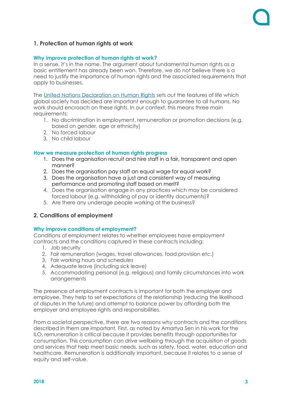# **1. Protection of human rights at work**

#### **Why improve protection of human rights at work?**

In a sense, it's in the name. The argument about fundamental human rights as a basic entitlement has already been won. Therefore, we do not believe there is a need to justify the importance of human rights and the associated requirements that apply to businesses.

The [United Nations Declaration on Human Rights](http://www.ohchr.org/EN/UDHR/Documents/UDHR_Translations/eng.pdf) sets out the features of life which global society has decided are important enough to guarantee to all humans. No work should encroach on these rights. In our context, this means three main requirements:

- 1. No discrimination in employment, remuneration or promotion decisions (e.g. based on gender, age or ethnicity)
- 2. No forced labour
- 3. No child labour

### **How we measure protection of human rights progress**

- 1. Does the organisation recruit and hire staff in a fair, transparent and open manner?
- 2. Does the organisation pay staff an equal wage for equal work?
- 3. Does the organisation have a just and consistent way of measuring performance and promoting staff based on merit?
- 4. Does the organisation engage in any practices which may be considered forced labour (e.g. withholding of pay or identity documents)?
- 5. Are there any underage people working at the business?

## **2. Conditions of employment**

## **Why improve conditions of employment?**

Conditions of employment relates to whether employees have employment contracts and the conditions captured in these contracts including:

- 1. Job security
- 2. Fair remuneration (wages, travel allowances, food provision etc.)
- 3. Fair working hours and schedules
- 4. Adequate leave (including sick leave)
- 5. Accommodating personal (e.g. religious) and family circumstances into work **arrangements**

The presence of employment contracts is important for both the employer and employee. They help to set expectations of the relationship (reducing the likelihood of disputes in the future) and attempt to balance power by affording both the employer and employee rights and responsibilities.

From a societal perspective, there are two reasons why contracts and the conditions described in them are important. First, as noted by Amartya Sen in his work for the ILO, remuneration is critical because it provides benefits through opportunities for consumption. This consumption can drive wellbeing through the acquisition of goods and services that help meet basic needs, such as safety, food, water, education and healthcare. Remuneration is additionally important, because it relates to a sense of equity and self-value.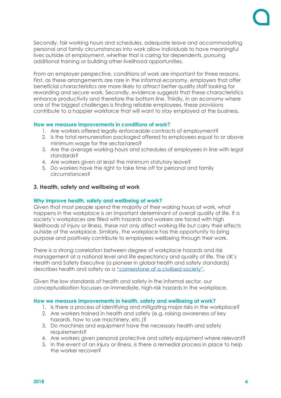

Secondly, fair working hours and schedules, adequate leave and accommodating personal and family circumstances into work allow individuals to have meaningful lives outside of employment, whether that is caring for dependents, pursuing additional training or building other livelihood opportunities.

From an employer perspective, conditions of work are important for three reasons. First, as these arrangements are rare in the informal economy, employers that offer beneficial characteristics are more likely to attract better quality staff looking for rewarding and secure work. Secondly, evidence suggests that these characteristics enhance productivity and therefore the bottom line. Thirdly, in an economy where one of the biggest challenges is finding reliable employees, these provisions contribute to a happier workforce that will want to stay employed at the business.

### **How we measure improvements in conditions of work?**

- 1. Are workers offered legally enforceable contracts of employment?
- 2. Is the total remuneration packaged offered to employees equal to or above minimum wage for the sector/area?
- 3. Are the average working hours and schedules of employees in line with legal standards?
- 4. Are workers given at least the minimum statutory leave?
- 5. Do workers have the right to take time off for personal and family circumstances?

### **3. Health, safety and wellbeing at work**

#### **Why improve health, safety and wellbeing at work?**

Given that most people spend the majority of their waking hours at work, what happens in the workplace is an important determinant of overall quality of life. If a society's workplaces are filled with hazards and workers are faced with high likelihoods of injury or illness, these not only affect working life but carry their effects outside of the workplace. Similarly, the workplace has the opportunity to bring purpose and positively contribute to employees wellbeing through their work.

There is a strong correlation between degree of workplace hazards and risk management at a national level and life expectancy and quality of life. The UK's Health and Safety Executive (a pioneer in global health and safety standards) describes health and safety as a ["cornerstone of a civilised society"](http://www.hse.gov.uk/aboutus/reports/30years.pdf).

Given the low standards of health and safety in the informal sector, our conceptualisation focusses on immediate, high-risk hazards in the workplace.

#### **How we measure improvements in health, safety and wellbeing at work?**

- 1. Is there a process of identifying and mitigating major risks in the workplace?
- 2. Are workers trained in health and safety (e.g. raising awareness of key hazards, how to use machinery, etc.)?
- 3. Do machines and equipment have the necessary health and safety requirements?
- 4. Are workers given personal protective and safety equipment where relevant?
- 5. In the event of an injury or illness, is there a remedial process in place to help the worker recover?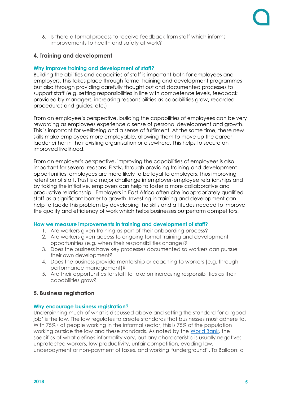6. Is there a formal process to receive feedback from staff which informs improvements to health and safety at work?

# **4. Training and development**

## **Why improve training and development of staff?**

Building the abilities and capacities of staff is important both for employees and employers. This takes place through formal training and development programmes but also through providing carefully thought out and documented processes to support staff (e.g. setting responsibilities in line with competence levels, feedback provided by managers, increasing responsibilities as capabilities grow, recorded procedures and guides, etc.)

From an employee's perspective, building the capabilities of employees can be very rewarding as employees experience a sense of personal development and growth. This is important for wellbeing and a sense of fulfilment. At the same time, these new skills make employees more employable, allowing them to move up the career ladder either in their existing organisation or elsewhere. This helps to secure an improved livelihood.

From an employer's perspective, improving the capabilities of employees is also important for several reasons. Firstly, through providing training and development opportunities, employees are more likely to be loyal to employers, thus improving retention of staff. Trust is a major challenge in employer-employee relationships and by taking the initiative, employers can help to foster a more collaborative and productive relationship. Employers in East Africa often cite inappropriately qualified staff as a significant barrier to growth. Investing in training and development can help to tackle this problem by developing the skills and attitudes needed to improve the quality and efficiency of work which helps businesses outperform competitors.

## **How we measure improvements in training and development of staff?**

- 1. Are workers given training as part of their onboarding process?
- 2. Are workers given access to ongoing formal training and development opportunities (e.g. when their responsibilities change)?
- 3. Does the business have key processes documented so workers can pursue their own development?
- 4. Does the business provide mentorship or coaching to workers (e.g. through performance management)?
- 5. Are their opportunities for staff to take on increasing responsibilities as their capabilities grow?

# **5. Business registration**

## **Why encourage business registration?**

Underpinning much of what is discussed above and setting the standard for a 'good job' is the law. The law regulates to create standards that businesses must adhere to. With 75%+ of people working in the informal sector, this is 75% of the population working outside the law and these standards. As noted by the [World Bank,](http://siteresources.worldbank.org/INTLAC/Resources/CH1.pdf) the specifics of what defines informality vary, but any characteristic is usually negative: unprotected workers, low productivity, unfair competition, evading law, underpayment or non-payment of taxes, and working "underground". To Balloon, a